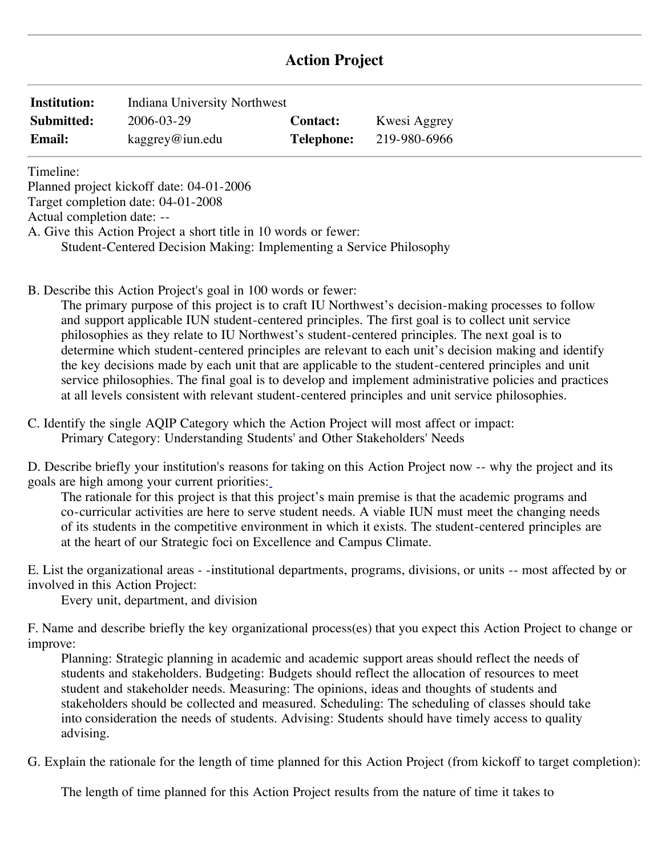# **Action Project**

| <b>Institution:</b> | Indiana University Northwest |                   |              |
|---------------------|------------------------------|-------------------|--------------|
| Submitted:          | 2006-03-29                   | <b>Contact:</b>   | Kwesi Aggrey |
| <b>Email:</b>       | kaggrey@iun.edu              | <b>Telephone:</b> | 219-980-6966 |

Timeline:

Planned project kickoff date: 04-01-2006

Target completion date: 04-01-2008

Actual completion date: --

A. Give this Action Project a short title in 10 words or fewer:

Student-Centered Decision Making: Implementing a Service Philosophy

B. Describe this Action Project's goal in 100 words or fewer:

The primary purpose of this project is to craft IU Northwest's decision-making processes to follow and support applicable IUN student-centered principles. The first goal is to collect unit service philosophies as they relate to IU Northwest's student-centered principles. The next goal is to determine which student-centered principles are relevant to each unit's decision making and identify the key decisions made by each unit that are applicable to the student-centered principles and unit service philosophies. The final goal is to develop and implement administrative policies and practices at all levels consistent with relevant student-centered principles and unit service philosophies.

C. Identify the single AQIP Category which the Action Project will most affect or impact: Primary Category: Understanding Students' and Other Stakeholders' Needs

D. Describe briefly your institution's reasons for taking on this Action Project now -- why the project and its goals are high among your current priorities:

The rationale for this project is that this project's main premise is that the academic programs and co-curricular activities are here to serve student needs. A viable IUN must meet the changing needs of its students in the competitive environment in which it exists. The student-centered principles are at the heart of our Strategic foci on Excellence and Campus Climate.

E. List the organizational areas - -institutional departments, programs, divisions, or units -- most affected by or involved in this Action Project:

Every unit, department, and division

F. Name and describe briefly the key organizational process(es) that you expect this Action Project to change or improve:

 student and stakeholder needs. Measuring: The opinions, ideas and thoughts of students and Planning: Strategic planning in academic and academic support areas should reflect the needs of students and stakeholders. Budgeting: Budgets should reflect the allocation of resources to meet stakeholders should be collected and measured. Scheduling: The scheduling of classes should take into consideration the needs of students. Advising: Students should have timely access to quality advising.

G. Explain the rationale for the length of time planned for this Action Project (from kickoff to target completion):

The length of time planned for this Action Project results from the nature of time it takes to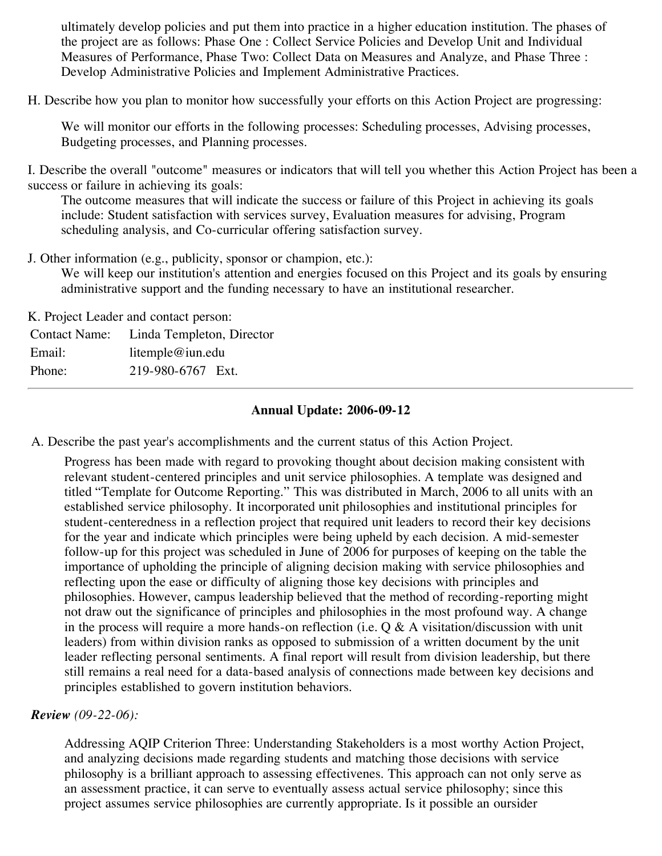ultimately develop policies and put them into practice in a higher education institution. The phases of the project are as follows: Phase One : Collect Service Policies and Develop Unit and Individual Measures of Performance, Phase Two: Collect Data on Measures and Analyze, and Phase Three : Develop Administrative Policies and Implement Administrative Practices.

H. Describe how you plan to monitor how successfully your efforts on this Action Project are progressing:

We will monitor our efforts in the following processes: Scheduling processes, Advising processes, Budgeting processes, and Planning processes.

 success or failure in achieving its goals: I. Describe the overall "outcome" measures or indicators that will tell you whether this Action Project has been a

The outcome measures that will indicate the success or failure of this Project in achieving its goals include: Student satisfaction with services survey, Evaluation measures for advising, Program scheduling analysis, and Co-curricular offering satisfaction survey.

J. Other information (e.g., publicity, sponsor or champion, etc.):

We will keep our institution's attention and energies focused on this Project and its goals by ensuring administrative support and the funding necessary to have an institutional researcher.

K. Project Leader and contact person:

|        | Contact Name: Linda Templeton, Director |
|--------|-----------------------------------------|
| Email: | litemple@iun.edu                        |
| Phone: | 219-980-6767 Ext.                       |

# **Annual Update: 2006-09-12**

A. Describe the past year's accomplishments and the current status of this Action Project.

Progress has been made with regard to provoking thought about decision making consistent with relevant student-centered principles and unit service philosophies. A template was designed and titled "Template for Outcome Reporting." This was distributed in March, 2006 to all units with an established service philosophy. It incorporated unit philosophies and institutional principles for student-centeredness in a reflection project that required unit leaders to record their key decisions for the year and indicate which principles were being upheld by each decision. A mid-semester follow-up for this project was scheduled in June of 2006 for purposes of keeping on the table the importance of upholding the principle of aligning decision making with service philosophies and reflecting upon the ease or difficulty of aligning those key decisions with principles and philosophies. However, campus leadership believed that the method of recording-reporting might not draw out the significance of principles and philosophies in the most profound way. A change in the process will require a more hands-on reflection (i.e.  $Q & A$  visitation/discussion with unit leaders) from within division ranks as opposed to submission of a written document by the unit leader reflecting personal sentiments. A final report will result from division leadership, but there still remains a real need for a data-based analysis of connections made between key decisions and principles established to govern institution behaviors.

#### *Review (09-22-06):*

Addressing AQIP Criterion Three: Understanding Stakeholders is a most worthy Action Project, and analyzing decisions made regarding students and matching those decisions with service philosophy is a brilliant approach to assessing effectivenes. This approach can not only serve as an assessment practice, it can serve to eventually assess actual service philosophy; since this project assumes service philosophies are currently appropriate. Is it possible an oursider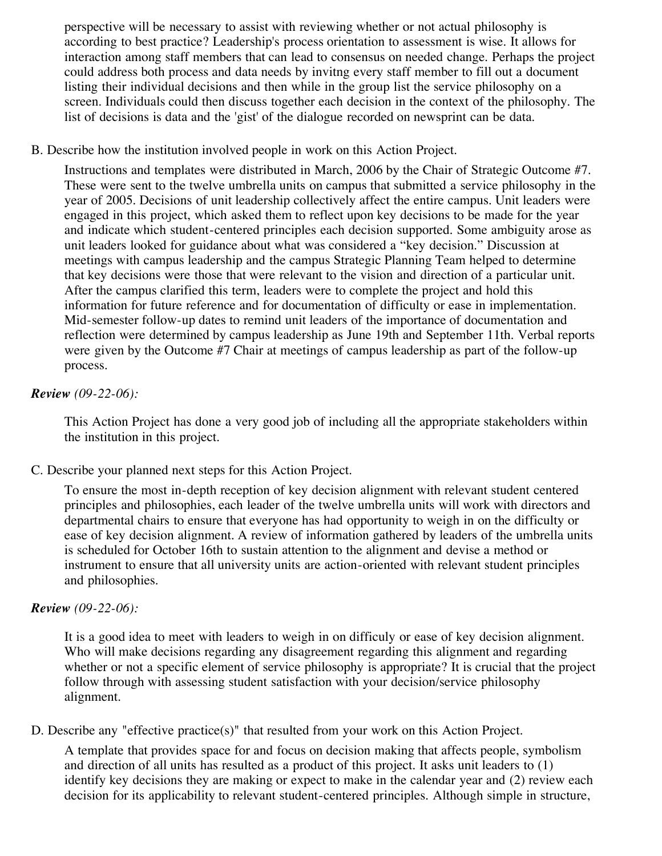perspective will be necessary to assist with reviewing whether or not actual philosophy is according to best practice? Leadership's process orientation to assessment is wise. It allows for interaction among staff members that can lead to consensus on needed change. Perhaps the project could address both process and data needs by invitng every staff member to fill out a document listing their individual decisions and then while in the group list the service philosophy on a screen. Individuals could then discuss together each decision in the context of the philosophy. The list of decisions is data and the 'gist' of the dialogue recorded on newsprint can be data.

# B. Describe how the institution involved people in work on this Action Project.

Instructions and templates were distributed in March, 2006 by the Chair of Strategic Outcome #7. These were sent to the twelve umbrella units on campus that submitted a service philosophy in the year of 2005. Decisions of unit leadership collectively affect the entire campus. Unit leaders were engaged in this project, which asked them to reflect upon key decisions to be made for the year and indicate which student-centered principles each decision supported. Some ambiguity arose as unit leaders looked for guidance about what was considered a "key decision." Discussion at meetings with campus leadership and the campus Strategic Planning Team helped to determine that key decisions were those that were relevant to the vision and direction of a particular unit. After the campus clarified this term, leaders were to complete the project and hold this information for future reference and for documentation of difficulty or ease in implementation. Mid-semester follow-up dates to remind unit leaders of the importance of documentation and reflection were determined by campus leadership as June 19th and September 11th. Verbal reports were given by the Outcome #7 Chair at meetings of campus leadership as part of the follow-up process.

# *Review (09-22-06):*

This Action Project has done a very good job of including all the appropriate stakeholders within the institution in this project.

# C. Describe your planned next steps for this Action Project.

To ensure the most in-depth reception of key decision alignment with relevant student centered principles and philosophies, each leader of the twelve umbrella units will work with directors and departmental chairs to ensure that everyone has had opportunity to weigh in on the difficulty or ease of key decision alignment. A review of information gathered by leaders of the umbrella units is scheduled for October 16th to sustain attention to the alignment and devise a method or instrument to ensure that all university units are action-oriented with relevant student principles and philosophies.

## *Review (09-22-06):*

It is a good idea to meet with leaders to weigh in on difficuly or ease of key decision alignment. Who will make decisions regarding any disagreement regarding this alignment and regarding whether or not a specific element of service philosophy is appropriate? It is crucial that the project follow through with assessing student satisfaction with your decision/service philosophy alignment.

D. Describe any "effective practice(s)" that resulted from your work on this Action Project.

A template that provides space for and focus on decision making that affects people, symbolism and direction of all units has resulted as a product of this project. It asks unit leaders to (1) identify key decisions they are making or expect to make in the calendar year and (2) review each decision for its applicability to relevant student-centered principles. Although simple in structure,